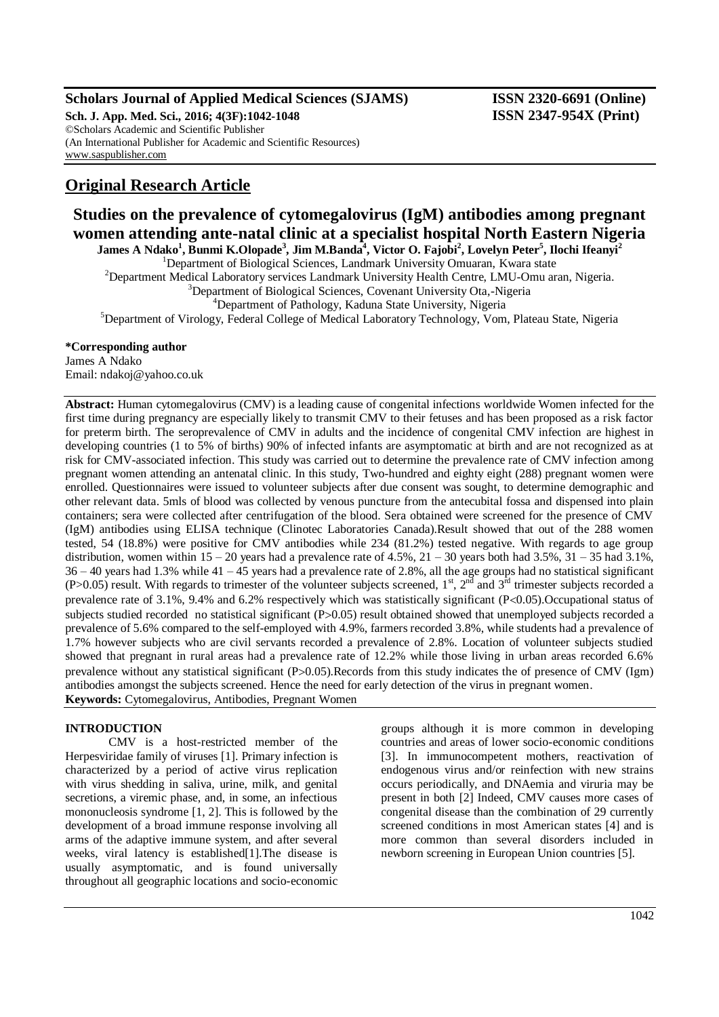## **Scholars Journal of Applied Medical Sciences (SJAMS) ISSN 2320-6691 (Online)**

**Sch. J. App. Med. Sci., 2016; 4(3F):1042-1048 ISSN 2347-954X (Print)** ©Scholars Academic and Scientific Publisher (An International Publisher for Academic and Scientific Resources) [www.saspublisher.com](http://www.saspublisher.com/)

# **Original Research Article**

**Studies on the prevalence of cytomegalovirus (IgM) antibodies among pregnant women attending ante-natal clinic at a specialist hospital North Eastern Nigeria**

**James A Ndako<sup>1</sup> , Bunmi K.Olopade<sup>3</sup> , Jim M.Banda<sup>4</sup> , Victor O. Fajobi<sup>2</sup> , Lovelyn Peter<sup>5</sup> , Ilochi Ifeanyi<sup>2</sup>**

<sup>1</sup>Department of Biological Sciences, Landmark University Omuaran, Kwara state

<sup>2</sup>Department Medical Laboratory services Landmark University Health Centre, LMU-Omu aran, Nigeria.

<sup>3</sup>Department of Biological Sciences, Covenant University Ota,-Nigeria

<sup>4</sup>Department of Pathology, Kaduna State University, Nigeria

<sup>5</sup>Department of Virology, Federal College of Medical Laboratory Technology, Vom, Plateau State, Nigeria

## **\*Corresponding author**

James A Ndako Email: ndakoj@yahoo.co.uk

**Abstract:** Human cytomegalovirus (CMV) is a leading cause of congenital infections worldwide Women infected for the first time during pregnancy are especially likely to transmit CMV to their fetuses and has been proposed as a risk factor for preterm birth. The seroprevalence of CMV in adults and the incidence of congenital CMV infection are highest in developing countries (1 to 5% of births) 90% of infected infants are asymptomatic at birth and are not recognized as at risk for CMV-associated infection. This study was carried out to determine the prevalence rate of CMV infection among pregnant women attending an antenatal clinic. In this study, Two-hundred and eighty eight (288) pregnant women were enrolled. Questionnaires were issued to volunteer subjects after due consent was sought, to determine demographic and other relevant data. 5mls of blood was collected by venous puncture from the antecubital fossa and dispensed into plain containers; sera were collected after centrifugation of the blood. Sera obtained were screened for the presence of CMV (IgM) antibodies using ELISA technique (Clinotec Laboratories Canada).Result showed that out of the 288 women tested, 54 (18.8%) were positive for CMV antibodies while 234 (81.2%) tested negative. With regards to age group distribution, women within  $15 - 20$  years had a prevalence rate of  $4.5\%, 21 - 30$  years both had  $3.5\%, 31 - 35$  had  $3.1\%,$ 36 – 40 years had 1.3% while 41 – 45 years had a prevalence rate of 2.8%, all the age groups had no statistical significant (P>0.05) result. With regards to trimester of the volunteer subjects screened,  $1^{st}$ ,  $2^{nd}$  and  $3^{rd}$  trimester subjects recorded a prevalence rate of  $3.1\%$ ,  $9.4\%$  and  $6.2\%$  respectively which was statistically significant (P<0.05).Occupational status of subjects studied recorded no statistical significant  $(P>0.05)$  result obtained showed that unemployed subjects recorded a prevalence of 5.6% compared to the self-employed with 4.9%, farmers recorded 3.8%, while students had a prevalence of 1.7% however subjects who are civil servants recorded a prevalence of 2.8%. Location of volunteer subjects studied showed that pregnant in rural areas had a prevalence rate of 12.2% while those living in urban areas recorded 6.6% prevalence without any statistical significant  $(P>0.05)$ .Records from this study indicates the of presence of CMV (Igm) antibodies amongst the subjects screened. Hence the need for early detection of the virus in pregnant women. **Keywords:** Cytomegalovirus, Antibodies, Pregnant Women

## **INTRODUCTION**

CMV is a host-restricted member of the Herpesviridae family of viruses [1]. Primary infection is characterized by a period of active virus replication with virus shedding in saliva, urine, milk, and genital secretions, a viremic phase, and, in some, an infectious mononucleosis syndrome [1, 2]. This is followed by the development of a broad immune response involving all arms of the adaptive immune system, and after several weeks, viral latency is established[1].The disease is usually asymptomatic, and is found universally throughout all geographic locations and socio-economic groups although it is more common in developing countries and areas of lower socio-economic conditions [3]. In immunocompetent mothers, reactivation of endogenous virus and/or reinfection with new strains occurs periodically, and DNAemia and viruria may be present in both [2] Indeed, CMV causes more cases of congenital disease than the combination of 29 currently screened conditions in most American states [4] and is more common than several disorders included in newborn screening in European Union countries [5].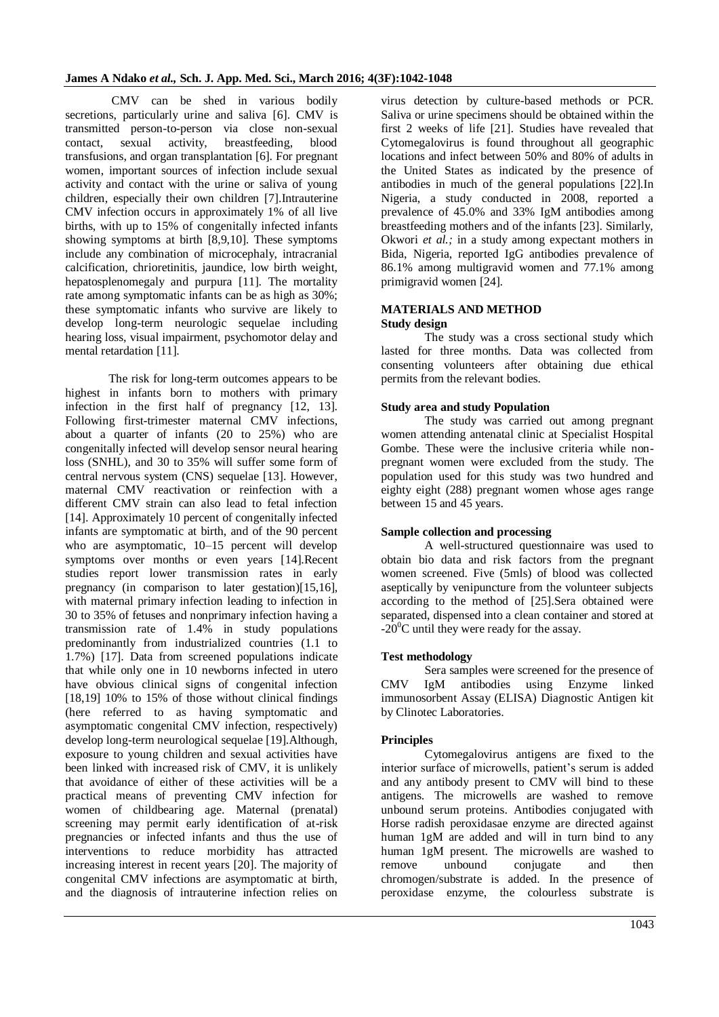CMV can be shed in various bodily secretions, particularly urine and saliva [6]. CMV is transmitted person-to-person via close non-sexual contact, sexual activity, breastfeeding, blood transfusions, and organ transplantation [6]. For pregnant women, important sources of infection include sexual activity and contact with the urine or saliva of young children, especially their own children [7].Intrauterine CMV infection occurs in approximately 1% of all live births, with up to 15% of congenitally infected infants showing symptoms at birth [8,9,10]. These symptoms include any combination of microcephaly, intracranial calcification, chrioretinitis, jaundice, low birth weight, hepatosplenomegaly and purpura [11]. The mortality rate among symptomatic infants can be as high as 30%; these symptomatic infants who survive are likely to develop long-term neurologic sequelae including hearing loss, visual impairment, psychomotor delay and mental retardation [11].

The risk for long-term outcomes appears to be highest in infants born to mothers with primary infection in the first half of pregnancy [12, 13]. Following first-trimester maternal CMV infections, about a quarter of infants (20 to 25%) who are congenitally infected will develop sensor neural hearing loss (SNHL), and 30 to 35% will suffer some form of central nervous system (CNS) sequelae [13]. However, maternal CMV reactivation or reinfection with a different CMV strain can also lead to fetal infection [14]. Approximately 10 percent of congenitally infected infants are symptomatic at birth, and of the 90 percent who are asymptomatic, 10–15 percent will develop symptoms over months or even years [14].Recent studies report lower transmission rates in early pregnancy (in comparison to later gestation)[15,16], with maternal primary infection leading to infection in 30 to 35% of fetuses and nonprimary infection having a transmission rate of 1.4% in study populations predominantly from industrialized countries (1.1 to 1.7%) [17]. Data from screened populations indicate that while only one in 10 newborns infected in utero have obvious clinical signs of congenital infection [18,19] 10% to 15% of those without clinical findings (here referred to as having symptomatic and asymptomatic congenital CMV infection, respectively) develop long-term neurological sequelae [19].Although, exposure to young children and sexual activities have been linked with increased risk of CMV, it is unlikely that avoidance of either of these activities will be a practical means of preventing CMV infection for women of childbearing age. Maternal (prenatal) screening may permit early identification of at-risk pregnancies or infected infants and thus the use of interventions to reduce morbidity has attracted increasing interest in recent years [20]. The majority of congenital CMV infections are asymptomatic at birth, and the diagnosis of intrauterine infection relies on virus detection by culture-based methods or PCR. Saliva or urine specimens should be obtained within the first 2 weeks of life [21]. Studies have revealed that Cytomegalovirus is found throughout all geographic locations and infect between 50% and 80% of adults in the United States as indicated by the presence of antibodies in much of the general populations [22].In Nigeria, a study conducted in 2008, reported a prevalence of 45.0% and 33% IgM antibodies among breastfeeding mothers and of the infants [23]. Similarly, Okwori *et al.;* in a study among expectant mothers in Bida, Nigeria, reported IgG antibodies prevalence of 86.1% among multigravid women and 77.1% among primigravid women [24].

## **MATERIALS AND METHOD Study design**

The study was a cross sectional study which lasted for three months. Data was collected from consenting volunteers after obtaining due ethical permits from the relevant bodies.

## **Study area and study Population**

The study was carried out among pregnant women attending antenatal clinic at Specialist Hospital Gombe. These were the inclusive criteria while nonpregnant women were excluded from the study. The population used for this study was two hundred and eighty eight (288) pregnant women whose ages range between 15 and 45 years.

## **Sample collection and processing**

A well-structured questionnaire was used to obtain bio data and risk factors from the pregnant women screened. Five (5mls) of blood was collected aseptically by venipuncture from the volunteer subjects according to the method of [25].Sera obtained were separated, dispensed into a clean container and stored at  $-20^{\circ}$ C until they were ready for the assay.

## **Test methodology**

Sera samples were screened for the presence of CMV IgM antibodies using Enzyme linked immunosorbent Assay (ELISA) Diagnostic Antigen kit by Clinotec Laboratories.

## **Principles**

Cytomegalovirus antigens are fixed to the interior surface of microwells, patient's serum is added and any antibody present to CMV will bind to these antigens. The microwells are washed to remove unbound serum proteins. Antibodies conjugated with Horse radish peroxidasae enzyme are directed against human 1gM are added and will in turn bind to any human 1gM present. The microwells are washed to remove unbound conjugate and then chromogen/substrate is added. In the presence of peroxidase enzyme, the colourless substrate is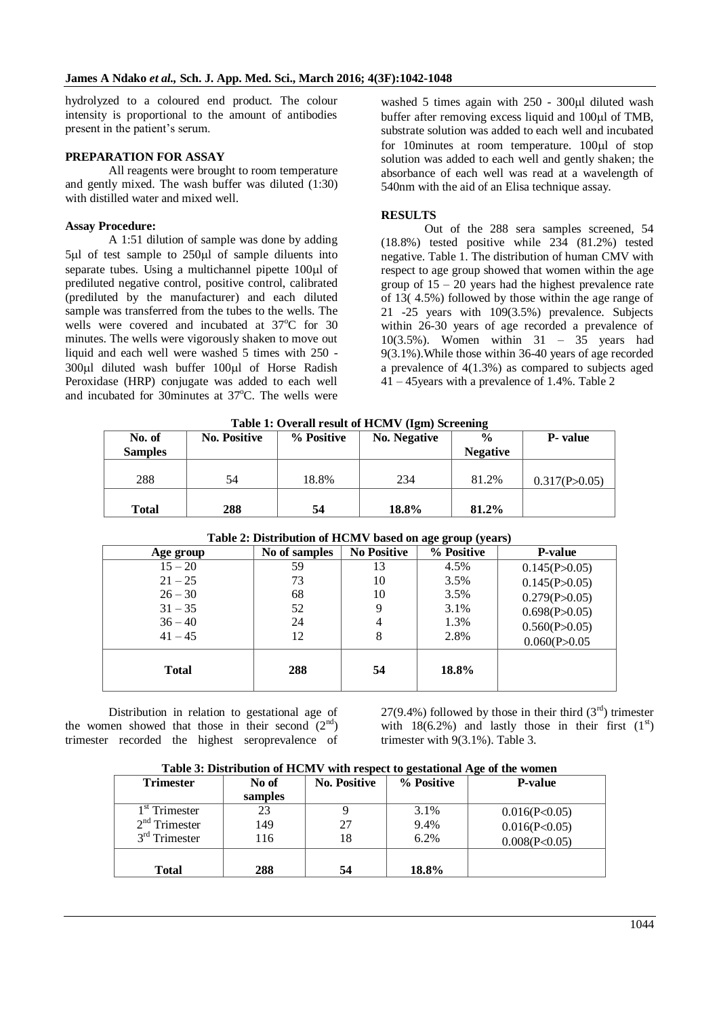hydrolyzed to a coloured end product. The colour intensity is proportional to the amount of antibodies present in the patient's serum.

## **PREPARATION FOR ASSAY**

All reagents were brought to room temperature and gently mixed. The wash buffer was diluted (1:30) with distilled water and mixed well.

### **Assay Procedure:**

A 1:51 dilution of sample was done by adding  $5\mu$ l of test sample to  $250\mu$ l of sample diluents into separate tubes. Using a multichannel pipette  $100 \mu l$  of prediluted negative control, positive control, calibrated (prediluted by the manufacturer) and each diluted sample was transferred from the tubes to the wells. The wells were covered and incubated at  $37^{\circ}$ C for 30 minutes. The wells were vigorously shaken to move out liquid and each well were washed 5 times with 250 - 300ul diluted wash buffer 100ul of Horse Radish Peroxidase (HRP) conjugate was added to each well and incubated for 30minutes at  $37^{\circ}$ C. The wells were

washed 5 times again with  $250 - 300$  uldiluted wash buffer after removing excess liquid and  $100\mu$  of TMB, substrate solution was added to each well and incubated for 10minutes at room temperature. 100 $\mu$ l of stop solution was added to each well and gently shaken; the absorbance of each well was read at a wavelength of 540nm with the aid of an Elisa technique assay.

## **RESULTS**

Out of the 288 sera samples screened, 54 (18.8%) tested positive while 234 (81.2%) tested negative. Table 1. The distribution of human CMV with respect to age group showed that women within the age group of  $15 - 20$  years had the highest prevalence rate of 13( 4.5%) followed by those within the age range of 21 -25 years with 109(3.5%) prevalence. Subjects within 26-30 years of age recorded a prevalence of 10(3.5%). Women within 31 – 35 years had 9(3.1%).While those within 36-40 years of age recorded a prevalence of 4(1.3%) as compared to subjects aged 41 – 45years with a prevalence of 1.4%. Table 2

| Table 1: Overall result of HCMV (Igm) Screening |                     |            |                     |                                  |                  |  |
|-------------------------------------------------|---------------------|------------|---------------------|----------------------------------|------------------|--|
| No. of<br><b>Samples</b>                        | <b>No. Positive</b> | % Positive | <b>No. Negative</b> | $\frac{0}{0}$<br><b>Negative</b> | <b>P</b> - value |  |
| 288                                             | 54                  | 18.8%      | 234                 | 81.2%                            | 0.317(P>0.05)    |  |
| <b>Total</b>                                    | 288                 | 54         | 18.8%               | 81.2%                            |                  |  |

**Table 1: Overall result of HCMV (Igm) Screening**

| Table 2. Distribution of TICPTY based on age group (years) |               |                    |            |                |  |
|------------------------------------------------------------|---------------|--------------------|------------|----------------|--|
| Age group                                                  | No of samples | <b>No Positive</b> | % Positive | <b>P-value</b> |  |
| $15 - 20$                                                  | 59            | 13                 | 4.5%       | 0.145(P>0.05)  |  |
| $21 - 25$                                                  | 73            | 10                 | 3.5%       | 0.145(P>0.05)  |  |
| $26 - 30$                                                  | 68            | 10                 | 3.5%       | 0.279(P>0.05)  |  |
| $31 - 35$                                                  | 52            | 9                  | 3.1%       | 0.698(P>0.05)  |  |
| $36 - 40$                                                  | 24            | 4                  | 1.3%       | 0.560(P>0.05)  |  |
| $41 - 45$                                                  | 12            | 8                  | 2.8%       | 0.060(P>0.05)  |  |
| <b>Total</b>                                               | 288           | 54                 | 18.8%      |                |  |

## **Table 2: Distribution of HCMV based on age group (years)**

Distribution in relation to gestational age of the women showed that those in their second  $(2<sup>nd</sup>)$ trimester recorded the highest seroprevalence of 27(9.4%) followed by those in their third  $(3<sup>rd</sup>)$  trimester with 18(6.2%) and lastly those in their first  $(1<sup>st</sup>)$ trimester with 9(3.1%). Table 3.

| Table 3: Distribution of HCMV with respect to gestational Age of the women |  |  |
|----------------------------------------------------------------------------|--|--|
|----------------------------------------------------------------------------|--|--|

| $\sim$ which is not allowed that $\sim$ and $\sim$ . The sixteenth is the second second large of the second second second second second second second second second second second second second second second second second second |         |                     |            |                |  |
|------------------------------------------------------------------------------------------------------------------------------------------------------------------------------------------------------------------------------------|---------|---------------------|------------|----------------|--|
| <b>Trimester</b>                                                                                                                                                                                                                   | No of   | <b>No. Positive</b> | % Positive | <b>P-value</b> |  |
|                                                                                                                                                                                                                                    | samples |                     |            |                |  |
| $1st$ Trimester                                                                                                                                                                                                                    | 23      |                     | 3.1%       | 0.016(P<0.05)  |  |
| $2nd$ Trimester                                                                                                                                                                                                                    | 149     | 27                  | 9.4%       | 0.016(P<0.05)  |  |
| $3rd$ Trimester                                                                                                                                                                                                                    | 116     | 18                  | 6.2%       | 0.008(P<0.05)  |  |
|                                                                                                                                                                                                                                    |         |                     |            |                |  |
| <b>Total</b>                                                                                                                                                                                                                       | 288     | 54                  | 18.8%      |                |  |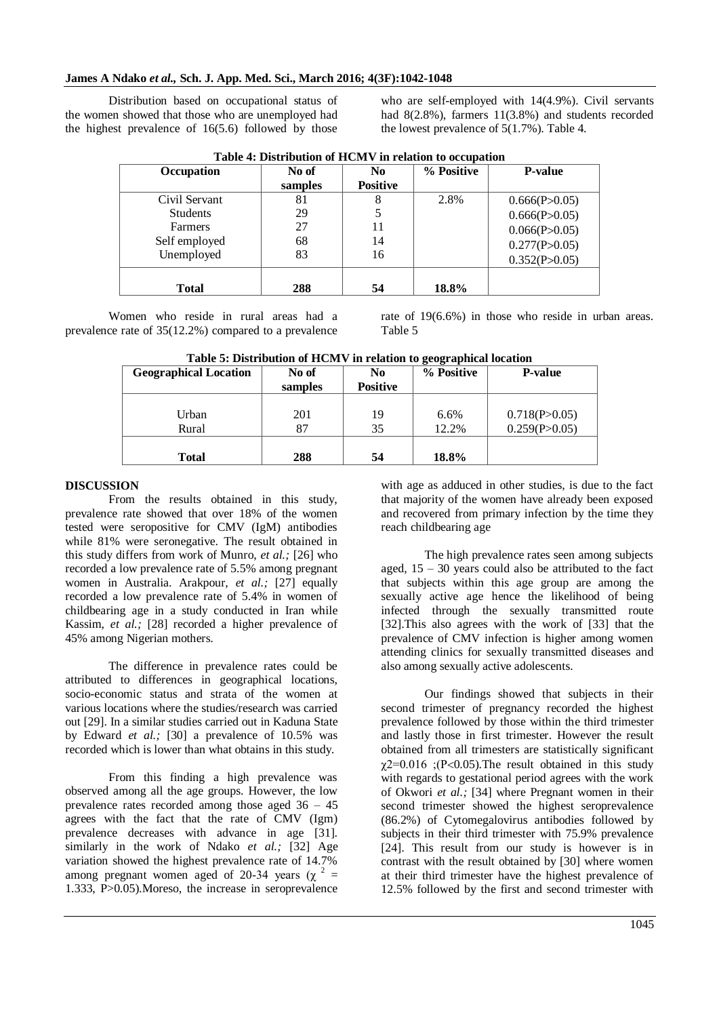Distribution based on occupational status of the women showed that those who are unemployed had the highest prevalence of 16(5.6) followed by those

who are self-employed with 14(4.9%). Civil servants had 8(2.8%), farmers 11(3.8%) and students recorded the lowest prevalence of 5(1.7%). Table 4.

| No of | N <sub>0</sub>  | % Positive | <b>P-value</b> |
|-------|-----------------|------------|----------------|
|       |                 |            |                |
|       | <b>Positive</b> |            |                |
| 81    | 8               | 2.8%       | 0.666(P>0.05)  |
| 29    |                 |            | 0.666(P>0.05)  |
| 27    | 11              |            | 0.066(P>0.05)  |
| 68    | 14              |            | 0.277(P>0.05)  |
| 83    | 16              |            | 0.352(P>0.05)  |
|       |                 |            |                |
| 288   | 54              | 18.8%      |                |
|       | samples         |            |                |

**Table 4: Distribution of HCMV in relation to occupation**

Women who reside in rural areas had a prevalence rate of 35(12.2%) compared to a prevalence rate of 19(6.6%) in those who reside in urban areas. Table 5

| <b>Geographical Location</b> | No of<br>samples | N <sub>0</sub><br><b>Positive</b> | % Positive    | <b>P-value</b>                 |
|------------------------------|------------------|-----------------------------------|---------------|--------------------------------|
| Urban<br>Rural               | 201<br>87        | 19<br>35                          | 6.6%<br>12.2% | 0.718(P>0.05)<br>0.259(P>0.05) |
| <b>Total</b>                 | 288              | 54                                | 18.8%         |                                |

#### **DISCUSSION**

From the results obtained in this study, prevalence rate showed that over 18% of the women tested were seropositive for CMV (IgM) antibodies while 81% were seronegative. The result obtained in this study differs from work of Munro, *et al.;* [26] who recorded a low prevalence rate of 5.5% among pregnant women in Australia. Arakpour, *et al.;* [27] equally recorded a low prevalence rate of 5.4% in women of childbearing age in a study conducted in Iran while Kassim, *et al.;* [28] recorded a higher prevalence of 45% among Nigerian mothers.

The difference in prevalence rates could be attributed to differences in geographical locations, socio-economic status and strata of the women at various locations where the studies/research was carried out [29]. In a similar studies carried out in Kaduna State by Edward *et al.;* [30] a prevalence of 10.5% was recorded which is lower than what obtains in this study.

From this finding a high prevalence was observed among all the age groups. However, the low prevalence rates recorded among those aged 36 – 45 agrees with the fact that the rate of CMV (Igm) prevalence decreases with advance in age [31]. similarly in the work of Ndako *et al.;* [32] Age variation showed the highest prevalence rate of 14.7% among pregnant women aged of 20-34 years ( $\chi^2$  = 1.333, P>0.05).Moreso, the increase in seroprevalence

with age as adduced in other studies, is due to the fact that majority of the women have already been exposed and recovered from primary infection by the time they reach childbearing age

The high prevalence rates seen among subjects aged,  $15 - 30$  years could also be attributed to the fact that subjects within this age group are among the sexually active age hence the likelihood of being infected through the sexually transmitted route [32].This also agrees with the work of [33] that the prevalence of CMV infection is higher among women attending clinics for sexually transmitted diseases and also among sexually active adolescents.

Our findings showed that subjects in their second trimester of pregnancy recorded the highest prevalence followed by those within the third trimester and lastly those in first trimester. However the result obtained from all trimesters are statistically significant  $\gamma$ 2=0.016 ;(P<0.05). The result obtained in this study with regards to gestational period agrees with the work of Okwori *et al.;* [34] where Pregnant women in their second trimester showed the highest seroprevalence (86.2%) of Cytomegalovirus antibodies followed by subjects in their third trimester with 75.9% prevalence [24]. This result from our study is however is in contrast with the result obtained by [30] where women at their third trimester have the highest prevalence of 12.5% followed by the first and second trimester with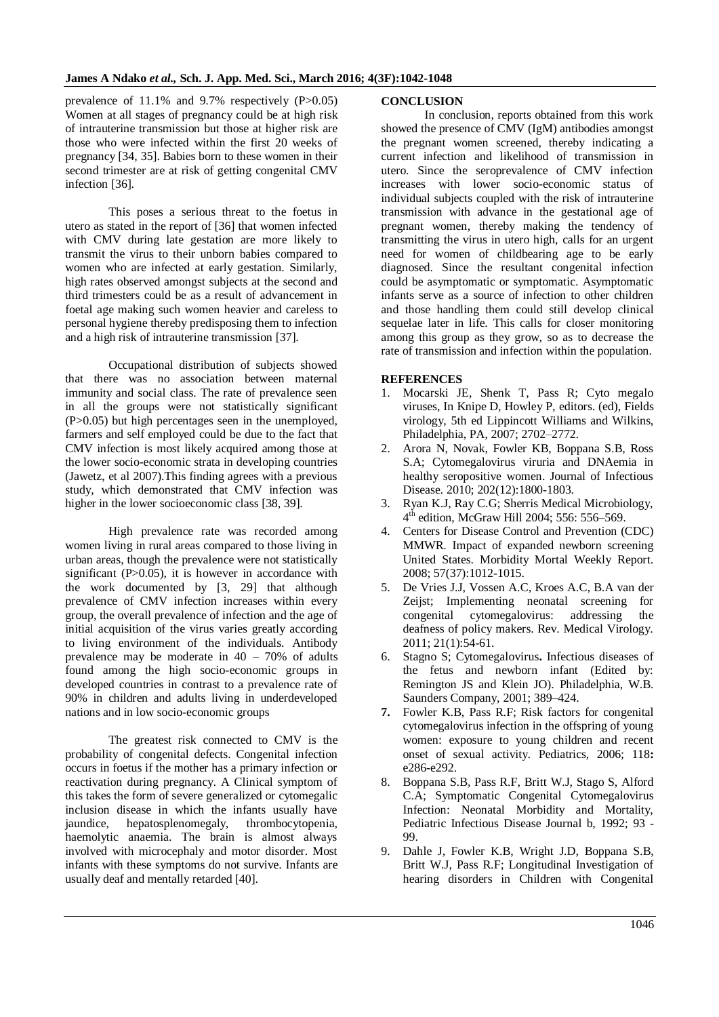prevalence of 11.1% and 9.7% respectively (P>0.05) Women at all stages of pregnancy could be at high risk of intrauterine transmission but those at higher risk are those who were infected within the first 20 weeks of pregnancy [34, 35]. Babies born to these women in their second trimester are at risk of getting congenital CMV infection [36].

This poses a serious threat to the foetus in utero as stated in the report of [36] that women infected with CMV during late gestation are more likely to transmit the virus to their unborn babies compared to women who are infected at early gestation. Similarly, high rates observed amongst subjects at the second and third trimesters could be as a result of advancement in foetal age making such women heavier and careless to personal hygiene thereby predisposing them to infection and a high risk of intrauterine transmission [37].

Occupational distribution of subjects showed that there was no association between maternal immunity and social class. The rate of prevalence seen in all the groups were not statistically significant (P>0.05) but high percentages seen in the unemployed, farmers and self employed could be due to the fact that CMV infection is most likely acquired among those at the lower socio-economic strata in developing countries (Jawetz, et al 2007).This finding agrees with a previous study, which demonstrated that CMV infection was higher in the lower socioeconomic class [38, 39].

High prevalence rate was recorded among women living in rural areas compared to those living in urban areas, though the prevalence were not statistically significant  $(P>0.05)$ , it is however in accordance with the work documented by [3, 29] that although prevalence of CMV infection increases within every group, the overall prevalence of infection and the age of initial acquisition of the virus varies greatly according to living environment of the individuals. Antibody prevalence may be moderate in 40 – 70% of adults found among the high socio-economic groups in developed countries in contrast to a prevalence rate of 90% in children and adults living in underdeveloped nations and in low socio-economic groups

The greatest risk connected to CMV is the probability of congenital defects. Congenital infection occurs in foetus if the mother has a primary infection or reactivation during pregnancy. A Clinical symptom of this takes the form of severe generalized or cytomegalic inclusion disease in which the infants usually have jaundice, hepatosplenomegaly, thrombocytopenia, haemolytic anaemia. The brain is almost always involved with microcephaly and motor disorder. Most infants with these symptoms do not survive. Infants are usually deaf and mentally retarded [40].

## **CONCLUSION**

In conclusion, reports obtained from this work showed the presence of CMV (IgM) antibodies amongst the pregnant women screened, thereby indicating a current infection and likelihood of transmission in utero. Since the seroprevalence of CMV infection increases with lower socio-economic status of individual subjects coupled with the risk of intrauterine transmission with advance in the gestational age of pregnant women, thereby making the tendency of transmitting the virus in utero high, calls for an urgent need for women of childbearing age to be early diagnosed. Since the resultant congenital infection could be asymptomatic or symptomatic. Asymptomatic infants serve as a source of infection to other children and those handling them could still develop clinical sequelae later in life. This calls for closer monitoring among this group as they grow, so as to decrease the rate of transmission and infection within the population.

## **REFERENCES**

- 1. Mocarski JE, Shenk T, Pass R; Cyto megalo viruses, In Knipe D, Howley P, editors. (ed), Fields virology, 5th ed Lippincott Williams and Wilkins, Philadelphia, PA, 2007; 2702–2772.
- 2. Arora N, Novak, Fowler KB, Boppana S.B, Ross S.A; Cytomegalovirus viruria and DNAemia in healthy seropositive women. Journal of Infectious Disease. 2010; 202(12):1800-1803.
- 3. Ryan K.J, Ray C.G; Sherris Medical Microbiology,  $4<sup>th</sup>$  edition, McGraw Hill 2004; 556: 556–569.
- 4. Centers for Disease Control and Prevention (CDC) MMWR. Impact of expanded newborn screening United States. Morbidity Mortal Weekly Report. 2008; 57(37):1012-1015.
- 5. De Vries J.J, Vossen A.C, Kroes A.C, B.A van der Zeijst; Implementing neonatal screening for congenital cytomegalovirus: addressing the deafness of policy makers. Rev. Medical Virology. 2011; 21(1):54-61.
- 6. Stagno S; Cytomegalovirus**.** Infectious diseases of the fetus and newborn infant (Edited by: Remington JS and Klein JO). Philadelphia, W.B. Saunders Company, 2001; 389–424.
- **7.** Fowler K.B, Pass R.F; Risk factors for congenital cytomegalovirus infection in the offspring of young women: exposure to young children and recent onset of sexual activity. Pediatrics, 2006; 118**:** e286-e292.
- 8. Boppana S.B, Pass R.F, Britt W.J, Stago S, Alford C.A; Symptomatic Congenital Cytomegalovirus Infection: Neonatal Morbidity and Mortality, Pediatric Infectious Disease Journal b, 1992; 93 - 99.
- 9. Dahle J, Fowler K.B, Wright J.D, Boppana S.B, Britt W.J, Pass R.F; Longitudinal Investigation of hearing disorders in Children with Congenital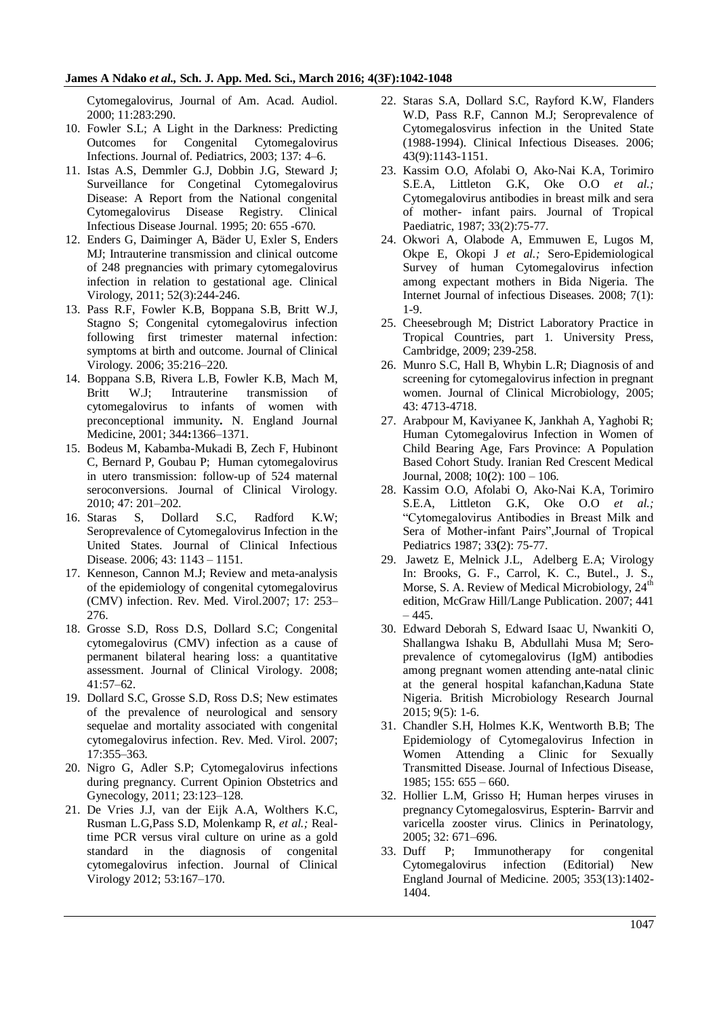Cytomegalovirus, Journal of Am. Acad. Audiol. 2000; 11:283:290.

- 10. Fowler S.L; A Light in the Darkness: Predicting Outcomes for Congenital Cytomegalovirus Infections. Journal of. Pediatrics, 2003; 137: 4–6.
- 11. Istas A.S, Demmler G.J, Dobbin J.G, Steward J; Surveillance for Congetinal Cytomegalovirus Disease: A Report from the National congenital Cytomegalovirus Disease Registry. Clinical Infectious Disease Journal. 1995; 20: 655 -670.
- 12. Enders G, Daiminger A, Bäder U, Exler S, Enders MJ; Intrauterine transmission and clinical outcome of 248 pregnancies with primary cytomegalovirus infection in relation to gestational age. Clinical Virology, 2011; 52(3):244-246.
- 13. Pass R.F, Fowler K.B, Boppana S.B, Britt W.J, Stagno S; Congenital cytomegalovirus infection following first trimester maternal infection: symptoms at birth and outcome. Journal of Clinical Virology. 2006; 35:216–220.
- 14. Boppana S.B, Rivera L.B, Fowler K.B, Mach M, Britt W.J; Intrauterine transmission of cytomegalovirus to infants of women with preconceptional immunity**.** N. England Journal Medicine, 2001; 344**:**1366–1371.
- 15. Bodeus M, Kabamba-Mukadi B, Zech F, Hubinont C, Bernard P, Goubau P; Human cytomegalovirus in utero transmission: follow-up of 524 maternal seroconversions. Journal of Clinical Virology. 2010; 47: 201–202.
- 16. Staras S, Dollard S.C, Radford K.W; Seroprevalence of Cytomegalovirus Infection in the United States. Journal of Clinical Infectious Disease. 2006; 43: 1143 – 1151.
- 17. Kenneson, Cannon M.J; Review and meta-analysis of the epidemiology of congenital cytomegalovirus (CMV) infection. Rev. Med. Virol.2007; 17: 253– 276.
- 18. Grosse S.D, Ross D.S, Dollard S.C; Congenital cytomegalovirus (CMV) infection as a cause of permanent bilateral hearing loss: a quantitative assessment. Journal of Clinical Virology. 2008; 41:57–62.
- 19. Dollard S.C, Grosse S.D, Ross D.S; New estimates of the prevalence of neurological and sensory sequelae and mortality associated with congenital cytomegalovirus infection. Rev. Med. Virol. 2007; 17:355–363.
- 20. Nigro G, Adler S.P; Cytomegalovirus infections during pregnancy. Current Opinion Obstetrics and Gynecology, 2011; 23:123–128.
- 21. De Vries J.J, van der Eijk A.A, Wolthers K.C, Rusman L.G,Pass S.D, Molenkamp R, *et al.;* Realtime PCR versus viral culture on urine as a gold standard in the diagnosis of congenital cytomegalovirus infection. Journal of Clinical Virology 2012; 53:167–170.
- 22. Staras S.A, Dollard S.C, Rayford K.W, Flanders W.D, Pass R.F, Cannon M.J; Seroprevalence of Cytomegalosvirus infection in the United State (1988-1994). Clinical Infectious Diseases. 2006; 43(9):1143-1151.
- 23. Kassim O.O, Afolabi O, Ako-Nai K.A, Torimiro S.E.A, Littleton G.K, Oke O.O *et al.;* Cytomegalovirus antibodies in breast milk and sera of mother- infant pairs. Journal of Tropical Paediatric, 1987; 33(2):75-77.
- 24. Okwori A, Olabode A, Emmuwen E, Lugos M, Okpe E, Okopi J *et al.;* Sero-Epidemiological Survey of human Cytomegalovirus infection among expectant mothers in Bida Nigeria. The Internet Journal of infectious Diseases. 2008; 7(1): 1-9.
- 25. Cheesebrough M; District Laboratory Practice in Tropical Countries, part 1. University Press, Cambridge, 2009; 239-258.
- 26. Munro S.C, Hall B, Whybin L.R; Diagnosis of and screening for cytomegalovirus infection in pregnant women. Journal of Clinical Microbiology, 2005; 43: 4713-4718.
- 27. Arabpour M, Kaviyanee K, Jankhah A, Yaghobi R; Human Cytomegalovirus Infection in Women of Child Bearing Age, Fars Province: A Population Based Cohort Study. Iranian Red Crescent Medical Journal, 2008; 10**(**2): 100 – 106.
- 28. Kassim O.O, Afolabi O, Ako-Nai K.A, Torimiro S.E.A, Littleton G.K, Oke O.O *et al.;* "Cytomegalovirus Antibodies in Breast Milk and Sera of Mother-infant Pairs",Journal of Tropical Pediatrics 1987; 33**(**2): 75-77.
- 29. Jawetz E, Melnick J.L, Adelberg E.A; Virology In: Brooks, G. F., Carrol, K. C., Butel., J. S., Morse, S. A. Review of Medical Microbiology, 24<sup>th</sup> edition, McGraw Hill/Lange Publication. 2007; 441  $-445.$
- 30. Edward Deborah S, Edward Isaac U, Nwankiti O, Shallangwa Ishaku B, Abdullahi Musa M; Seroprevalence of cytomegalovirus (IgM) antibodies among pregnant women attending ante-natal clinic at the general hospital kafanchan,Kaduna State Nigeria. British Microbiology Research Journal 2015; 9(5): 1-6.
- 31. Chandler S.H, Holmes K.K, Wentworth B.B; The Epidemiology of Cytomegalovirus Infection in Women Attending a Clinic for Sexually Transmitted Disease. Journal of Infectious Disease, 1985; 155: 655 – 660.
- 32. Hollier L.M, Grisso H; Human herpes viruses in pregnancy Cytomegalosvirus, Espterin- Barrvir and varicella zooster virus. Clinics in Perinatology, 2005; 32: 671–696.
- 33. Duff P; Immunotherapy for congenital Cytomegalovirus infection (Editorial) New England Journal of Medicine. 2005; 353(13):1402- 1404.